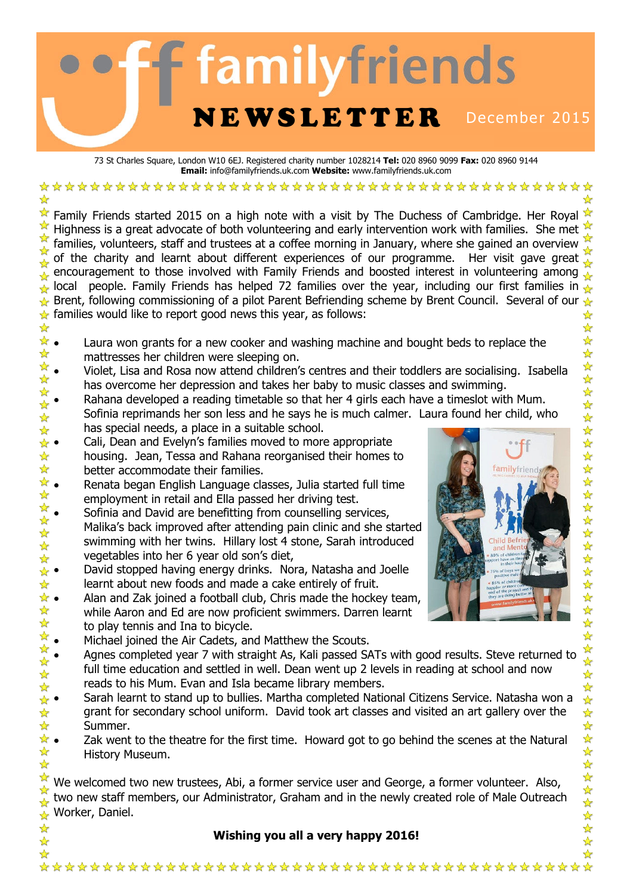# **familyfriends** NEWSLETTER December 2015

73 St Charles Square, London W10 6EJ. Registered charity number 1028214 **Tel:** 020 8960 9099 **Fax:** 020 8960 9144 **Email:** info@familyfriends.uk.com **Website:** www.familyfriends.uk.com

Family Friends started 2015 on a high note with a visit by The Duchess of Cambridge. Her Royal Highness is a great advocate of both volunteering and early intervention work with families. She met families, volunteers, staff and trustees at a coffee morning in January, where she gained an overview of the charity and learnt about different experiences of our programme. Her visit gave great encouragement to those involved with Family Friends and boosted interest in volunteering among local people. Family Friends has helped 72 families over the year, including our first families in Brent, following commissioning of a pilot Parent Befriending scheme by Brent Council. Several of our  $\star$  $\star$  families would like to report good news this year, as follows: ☆  $\frac{\lambda}{\lambda}$ 

- $\star \bullet$  Laura won grants for a new cooker and washing machine and bought beds to replace the  $\frac{1}{2}$ mattresses her children were sleeping on.
- has overcome her depression and takes her baby to music classes and swimming.
- Rahana developed a reading timetable so that her 4 girls each have a timeslot with Mum. Sofinia reprimands her son less and he says he is much calmer. Laura found her child, who has special needs, a place in a suitable school.
- Cali, Dean and Evelyn's families moved to more appropriate housing. Jean, Tessa and Rahana reorganised their homes to better accommodate their families.

☆

- Renata began English Language classes, Julia started full time employment in retail and Ella passed her driving test.
- Sofinia and David are benefitting from counselling services, Malika's back improved after attending pain clinic and she started swimming with her twins. Hillary lost 4 stone, Sarah introduced vegetables into her 6 year old son's diet,
- David stopped having energy drinks. Nora, Natasha and Joelle learnt about new foods and made a cake entirely of fruit.
- Alan and Zak joined a football club, Chris made the hockey team, while Aaron and Ed are now proficient swimmers. Darren learnt to play tennis and Ina to bicycle.
- Michael joined the Air Cadets, and Matthew the Scouts.
- Agnes completed year 7 with straight As, Kali passed SATs with good results. Steve returned to full time education and settled in well. Dean went up 2 levels in reading at school and now reads to his Mum. Evan and Isla became library members.
- Sarah learnt to stand up to bullies. Martha completed National Citizens Service. Natasha won a grant for secondary school uniform. David took art classes and visited an art gallery over the Summer.
- $\star \bullet$  Zak went to the theatre for the first time. Howard got to go behind the scenes at the Natural  $\frac{1}{\sqrt{2}}$ History Museum. ☆

We welcomed two new trustees, Abi, a former service user and George, a former volunteer. Also, two new staff members, our Administrator, Graham and in the newly created role of Male Outreach Worker, Daniel.

## **Wishing you all a very happy 2016!**



如如今以长女女女女女女女女女女女女女女女女女女女女女女女

24 24 2

女女女女女女女女女女女女女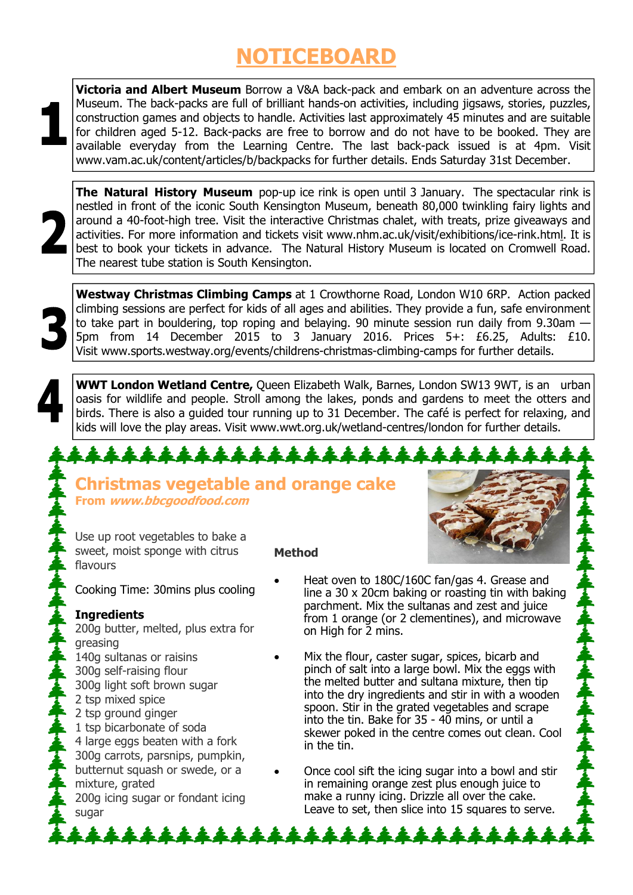# **NOTICEBOARD**

**Victoria and Albert Museum** Borrow a V&A back-pack and embark on an adventure across the Museum. The back-packs are full of brilliant hands-on activities, including jigsaws, stories, puzzles, construction games and objects to handle. Activities last approximately 45 minutes and are suitable for children aged 5-12. Back-packs are free to borrow and do not have to be booked. They are available everyday from the Learning Centre. The last back-pack issued is at 4pm. Visit www.vam.ac.uk/content/articles/b/backpacks for further details. Ends Saturday 31st December.



**The Natural History Museum** pop-up ice rink is open until 3 January. The spectacular rink is nestled in front of the iconic South Kensington Museum, beneath 80,000 twinkling fairy lights and around a 40-foot-high tree. Visit the interactive Christmas chalet, with treats, prize giveaways and activities. For more information and tickets visit www.nhm.ac.uk/visit/exhibitions/ice-rink.html. It is best to book your tickets in advance. The Natural History Museum is located on Cromwell Road. The nearest tube station is South Kensington.

**Westway Christmas Climbing Camps** at 1 Crowthorne Road, London W10 6RP. Action packed climbing sessions are perfect for kids of all ages and abilities. They provide a fun, safe environment to take part in bouldering, top roping and belaying. 90 minute session run daily from 9.30am — 5pm from 14 December 2015 to 3 January 2016. Prices 5+: £6.25, Adults: £10. Visit www.sports.westway.org/events/childrens-christmas-climbing-camps for further details.

**WWT London Wetland Centre,** Queen Elizabeth Walk, Barnes, London SW13 9WT, is an urban oasis for wildlife and people. Stroll among the lakes, ponds and gardens to meet the otters and birds. There is also a guided tour running up to 31 December. The café is perfect for relaxing, and kids will love the play areas. Visit www.wwt.org.uk/wetland-centres/london for further details.

## <u>11111111111</u>

## **Christmas vegetable and orange cake From www.bbcgoodfood.com**

Use up root vegetables to bake a sweet, moist sponge with citrus flavours

#### **Method**

Cooking Time: 30mins plus cooling

## **Ingredients**

200g butter, melted, plus extra for greasing

- 140g sultanas or raisins
- 300g self-raising flour
- 300g light soft brown sugar
- 2 tsp mixed spice
- 2 tsp ground ginger
- 1 tsp bicarbonate of soda
- 4 large eggs beaten with a fork
- 300g carrots, parsnips, pumpkin,
- butternut squash or swede, or a mixture, grated
- 200g icing sugar or fondant icing sugar

- Heat oven to 180C/160C fan/gas 4. Grease and line a 30 x 20cm baking or roasting tin with baking parchment. Mix the sultanas and zest and juice from 1 orange (or 2 clementines), and microwave on High for 2 mins.
- Mix the flour, caster sugar, spices, bicarb and pinch of salt into a large bowl. Mix the eggs with the melted butter and sultana mixture, then tip into the dry ingredients and stir in with a wooden spoon. Stir in the grated vegetables and scrape into the tin. Bake for 35 - 40 mins, or until a skewer poked in the centre comes out clean. Cool in the tin.
- Once cool sift the icing sugar into a bowl and stir in remaining orange zest plus enough juice to make a runny icing. Drizzle all over the cake. Leave to set, then slice into 15 squares to serve.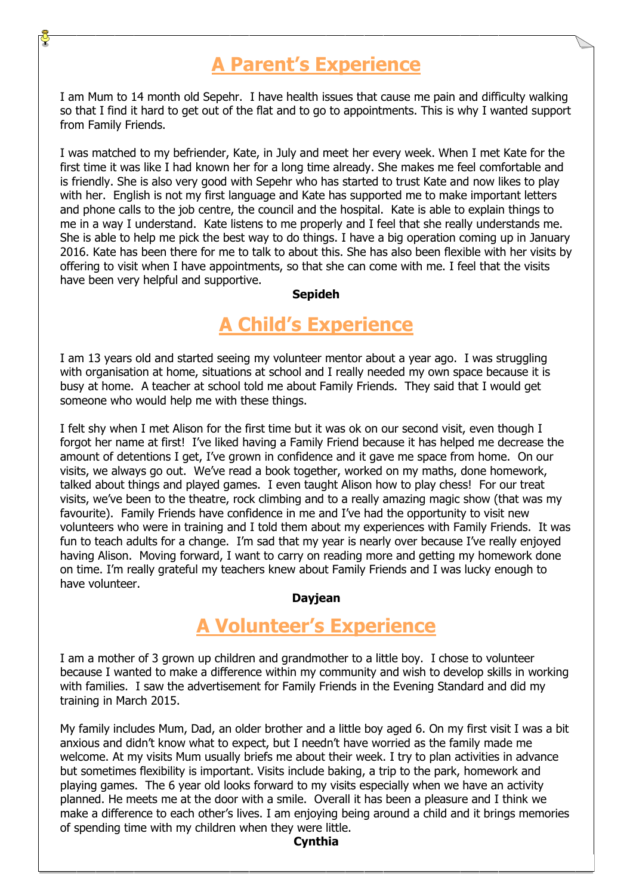## **A Parent's Experience**

I am Mum to 14 month old Sepehr. I have health issues that cause me pain and difficulty walking so that I find it hard to get out of the flat and to go to appointments. This is why I wanted support from Family Friends.

I was matched to my befriender, Kate, in July and meet her every week. When I met Kate for the first time it was like I had known her for a long time already. She makes me feel comfortable and is friendly. She is also very good with Sepehr who has started to trust Kate and now likes to play with her. English is not my first language and Kate has supported me to make important letters and phone calls to the job centre, the council and the hospital. Kate is able to explain things to me in a way I understand. Kate listens to me properly and I feel that she really understands me. She is able to help me pick the best way to do things. I have a big operation coming up in January 2016. Kate has been there for me to talk to about this. She has also been flexible with her visits by offering to visit when I have appointments, so that she can come with me. I feel that the visits have been very helpful and supportive.

#### **Sepideh**

## **A Child's Experience**

I am 13 years old and started seeing my volunteer mentor about a year ago. I was struggling with organisation at home, situations at school and I really needed my own space because it is busy at home. A teacher at school told me about Family Friends. They said that I would get someone who would help me with these things.

I felt shy when I met Alison for the first time but it was ok on our second visit, even though I forgot her name at first! I've liked having a Family Friend because it has helped me decrease the amount of detentions I get, I've grown in confidence and it gave me space from home. On our visits, we always go out. We've read a book together, worked on my maths, done homework, talked about things and played games. I even taught Alison how to play chess! For our treat visits, we've been to the theatre, rock climbing and to a really amazing magic show (that was my favourite). Family Friends have confidence in me and I've had the opportunity to visit new volunteers who were in training and I told them about my experiences with Family Friends. It was fun to teach adults for a change. I'm sad that my year is nearly over because I've really enjoyed having Alison. Moving forward, I want to carry on reading more and getting my homework done on time. I'm really grateful my teachers knew about Family Friends and I was lucky enough to have volunteer.

#### **Dayjean**

## **A Volunteer's Experience**

I am a mother of 3 grown up children and grandmother to a little boy. I chose to volunteer because I wanted to make a difference within my community and wish to develop skills in working with families. I saw the advertisement for Family Friends in the Evening Standard and did my training in March 2015.

My family includes Mum, Dad, an older brother and a little boy aged 6. On my first visit I was a bit anxious and didn't know what to expect, but I needn't have worried as the family made me welcome. At my visits Mum usually briefs me about their week. I try to plan activities in advance but sometimes flexibility is important. Visits include baking, a trip to the park, homework and playing games. The 6 year old looks forward to my visits especially when we have an activity planned. He meets me at the door with a smile. Overall it has been a pleasure and I think we make a difference to each other's lives. I am enjoying being around a child and it brings memories of spending time with my children when they were little.

### **Cynthia**